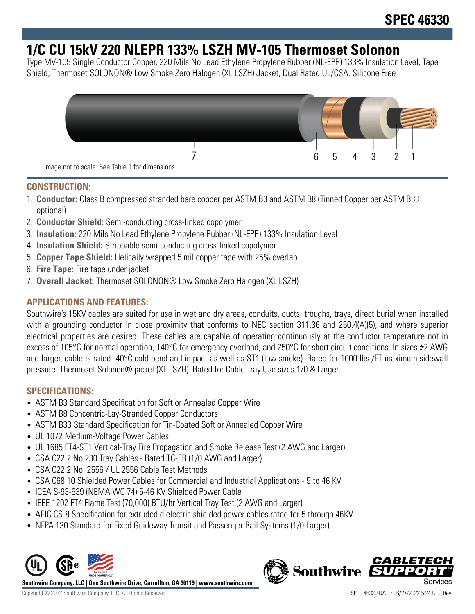# **1/C CU 15kV 220 NLEPR 133% LSZH MV-105 Thermoset Solonon**

Type MV-105 Single Conductor Copper, 220 Mils No Lead Ethylene Propylene Rubber (NL-EPR) 133% Insulation Level, Tape Shield, Thermoset SOLONON® Low Smoke Zero Halogen (XL LSZH) Jacket, Dual Rated UL/CSA. Silicone Free



#### **CONSTRUCTION:**

- 1. **Conductor:** Class B compressed stranded bare copper per ASTM B3 and ASTM B8 (Tinned Copper per ASTM B33 optional)
- 2. **Conductor Shield:** Semi-conducting cross-linked copolymer
- 3. **Insulation:** 220 Mils No Lead Ethylene Propylene Rubber (NL-EPR) 133% Insulation Level
- 4. **Insulation Shield:** Strippable semi-conducting cross-linked copolymer
- 5. **Copper Tape Shield:** Helically wrapped 5 mil copper tape with 25% overlap
- 6. **Fire Tape:** Fire tape under jacket
- 7. **Overall Jacket:** Thermoset SOLONON® Low Smoke Zero Halogen (XL LSZH)

## **APPLICATIONS AND FEATURES:**

Southwire's 15KV cables are suited for use in wet and dry areas, conduits, ducts, troughs, trays, direct burial when installed with a grounding conductor in close proximity that conforms to NEC section 311.36 and 250.4(A)(5), and where superior electrical properties are desired. These cables are capable of operating continuously at the conductor temperature not in excess of 105°C for normal operation, 140°C for emergency overload, and 250°C for short circuit conditions. In sizes #2 AWG and larger, cable is rated -40°C cold bend and impact as well as ST1 (low smoke). Rated for 1000 lbs./FT maximum sidewall pressure. Thermoset Solonon® jacket (XL LSZH). Rated for Cable Tray Use sizes 1/0 & Larger.

## **SPECIFICATIONS:**

- ASTM B3 Standard Specification for Soft or Annealed Copper Wire
- ASTM B8 Concentric-Lay-Stranded Copper Conductors
- ASTM B33 Standard Specification for Tin-Coated Soft or Annealed Copper Wire
- UL 1072 Medium-Voltage Power Cables
- UL 1685 FT4-ST1 Vertical-Tray Fire Propagation and Smoke Release Test (2 AWG and Larger)
- CSA C22.2 No.230 Tray Cables Rated TC-ER (1/0 AWG and Larger)
- CSA C22.2 No. 2556 / UL 2556 Cable Test Methods
- CSA C68.10 Shielded Power Cables for Commercial and Industrial Applications 5 to 46 KV
- ICEA S-93-639 (NEMA WC 74) 5-46 KV Shielded Power Cable
- IEEE 1202 FT4 Flame Test (70,000) BTU/hr Vertical Tray Test (2 AWG and Larger)
- AEIC CS-8 Specification for extruded dielectric shielded power cables rated for 5 through 46KV
- NFPA 130 Standard for Fixed Guideway Transit and Passenger Rail Systems (1/0 Larger)



**Southwire Company, LLC | One Southwire Drive, Carrollton, GA 30119 | www.southwire.com**

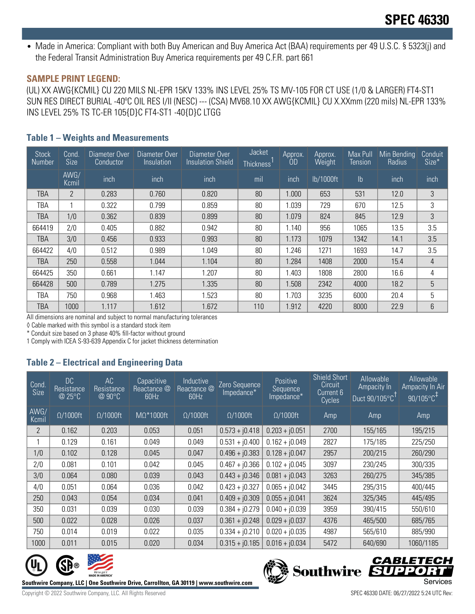• Made in America: Compliant with both Buy American and Buy America Act (BAA) requirements per 49 U.S.C. § 5323(j) and the Federal Transit Administration Buy America requirements per 49 C.F.R. part 661

#### **SAMPLE PRINT LEGEND:**

(UL) XX AWG{KCMIL} CU 220 MILS NL-EPR 15KV 133% INS LEVEL 25% TS MV-105 FOR CT USE (1/0 & LARGER) FT4-ST1 SUN RES DIRECT BURIAL -40ºC OIL RES I/II (NESC) --- (CSA) MV68.10 XX AWG{KCMIL} CU X.XXmm (220 mils) NL-EPR 133% INS LEVEL 25% TS TC-ER 105{D}C FT4-ST1 -40{D}C LTGG

#### **Table 1 – Weights and Measurements**

| <b>Stock</b><br><b>Number</b> | Cond.<br><b>Size</b> | Diameter Over<br>Conductor | Diameter Over<br><i>Insulation</i> | Diameter Over<br><b>Insulation Shield</b> | Jacket<br>Thickness' | Approx.<br>0D | Approx.<br>Weight | Max Pull<br>Tension | Min Bending<br>Radius | Conduit<br>Size* |
|-------------------------------|----------------------|----------------------------|------------------------------------|-------------------------------------------|----------------------|---------------|-------------------|---------------------|-----------------------|------------------|
|                               | AWG/<br>Kcmil        | inch                       | inch                               | inch                                      | mil                  | inch          | lb/1000ft         | $\mathsf{lb}$       | inch                  | inch             |
| TBA                           | $\overline{2}$       | 0.283                      | 0.760                              | 0.820                                     | 80                   | 1.000         | 653               | 531                 | 12.0                  | 3                |
| TBA                           |                      | 0.322                      | 0.799                              | 0.859                                     | 80                   | 1.039         | 729               | 670                 | 12.5                  | 3                |
| TBA                           | 1/0                  | 0.362                      | 0.839                              | 0.899                                     | 80                   | 1.079         | 824               | 845                 | 12.9                  | 3                |
| 664419                        | 2/0                  | 0.405                      | 0.882                              | 0.942                                     | 80                   | 1.140         | 956               | 1065                | 13.5                  | 3.5              |
| TBA                           | 3/0                  | 0.456                      | 0.933                              | 0.993                                     | 80                   | 1.173         | 1079              | 1342                | 14.1                  | 3.5              |
| 664422                        | 4/0                  | 0.512                      | 0.989                              | 1.049                                     | 80                   | .246          | 1271              | 1693                | 14.7                  | 3.5              |
| TBA                           | 250                  | 0.558                      | 1.044                              | 1.104                                     | 80                   | 1.284         | 1408              | 2000                | 15.4                  | $\overline{4}$   |
| 664425                        | 350                  | 0.661                      | 1.147                              | 1.207                                     | 80                   | 1.403         | 1808              | 2800                | 16.6                  | 4                |
| 664428                        | 500                  | 0.789                      | 1.275                              | 1.335                                     | 80                   | 1.508         | 2342              | 4000                | 18.2                  | 5                |
| TBA                           | 750                  | 0.968                      | 1.463                              | 1.523                                     | 80                   | 1.703         | 3235              | 6000                | 20.4                  | 5                |
| TBA                           | 1000                 | 1.117                      | 1.612                              | 1.672                                     | 110                  | 1.912         | 4220              | 8000                | 22.9                  | 6                |

All dimensions are nominal and subject to normal manufacturing tolerances

◊ Cable marked with this symbol is a standard stock item

\* Conduit size based on 3 phase 40% fill-factor without ground

1 Comply with ICEA S-93-639 Appendix C for jacket thickness determination

## **Table 2 – Electrical and Engineering Data**

| Cond<br>Size   | <b>DC</b><br>Resistance<br>@25°C | AC<br>Resistance<br>$@90^{\circ}C$ | Capacitive<br>Reactance @<br>60Hz | Inductive<br>Reactance <sup>@</sup><br>60Hz | Zero Sequence<br>Impedance* | Positive<br>Sequence<br>Impedance* | <b>Shield Short</b><br>Circuit<br>Current 6<br>Cycles | <b>Allowable</b><br>Ampacity In<br>Duct $90/105^{\circ}$ C <sup>TI</sup> | Allowable<br>Ampacity In Air<br>$90/105^{\circ}$ C <sup>+1</sup> |
|----------------|----------------------------------|------------------------------------|-----------------------------------|---------------------------------------------|-----------------------------|------------------------------------|-------------------------------------------------------|--------------------------------------------------------------------------|------------------------------------------------------------------|
| AWG/<br>Kcmil  | $\Omega/1000$ ft                 | $\Omega/1000$ ft                   | $M\Omega^*1000$ ft                | $\Omega/1000$ ft                            | $\Omega/1000$ ft            | $\Omega/1000$ ft                   | Amp                                                   | Amp                                                                      | Amp                                                              |
| $\overline{2}$ | 0.162                            | 0.203                              | 0.053                             | 0.051                                       | $0.573 + j0.418$            | $0.203 + j0.051$                   | 2700                                                  | 155/165                                                                  | 195/215                                                          |
|                | 0.129                            | 0.161                              | 0.049                             | 0.049                                       | $0.531 + j0.400$            | $0.162 + j0.049$                   | 2827                                                  | 175/185                                                                  | 225/250                                                          |
| 1/0            | 0.102                            | 0.128                              | 0.045                             | 0.047                                       | $0.496 + j0.383$            | $0.128 + j0.047$                   | 2957                                                  | 200/215                                                                  | 260/290                                                          |
| 2/0            | 0.081                            | 0.101                              | 0.042                             | 0.045                                       | $0.467 + j0.366$            | $0.102 + j0.045$                   | 3097                                                  | 230/245                                                                  | 300/335                                                          |
| 3/0            | 0.064                            | 0.080                              | 0.039                             | 0.043                                       | $0.443 + j0.346$            | $0.081 + j0.043$                   | 3263                                                  | 260/275                                                                  | 345/385                                                          |
| 4/0            | 0.051                            | 0.064                              | 0.036                             | 0.042                                       | $0.423 + i0.327$            | $0.065 + j0.042$                   | 3445                                                  | 295/315                                                                  | 400/445                                                          |
| 250            | 0.043                            | 0.054                              | 0.034                             | 0.041                                       | $0.409 + j0.309$            | $0.055 + j0.041$                   | 3624                                                  | 325/345                                                                  | 445/495                                                          |
| 350            | 0.031                            | 0.039                              | 0.030                             | 0.039                                       | $0.384 + j0.279$            | $0.040 + j0.039$                   | 3959                                                  | 390/415                                                                  | 550/610                                                          |
| 500            | 0.022                            | 0.028                              | 0.026                             | 0.037                                       | $0.361 + j0.248$            | $0.029 + j0.037$                   | 4376                                                  | 465/500                                                                  | 685/765                                                          |
| 750            | 0.014                            | 0.019                              | 0.022                             | 0.035                                       | $0.334 + j0.210$            | $0.020 + j0.035$                   | 4987                                                  | 565/610                                                                  | 885/990                                                          |
| 1000           | 0.011                            | 0.015                              | 0.020                             | 0.034                                       | $0.315 + j0.185$            | $0.016 + j0.034$                   | 5472                                                  | 640/690                                                                  | 1060/1185                                                        |



**Southwire Company, LLC | One Southwire Drive, Carrollton, GA 30119 | www.southwire.com**